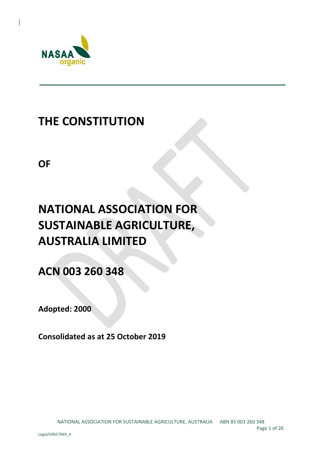

## **THE CONSTITUTION**

**OF**

# **NATIONAL ASSOCIATION FOR SUSTAINABLE AGRICULTURE, AUSTRALIA LIMITED**

**ACN 003 260 348**

**Adopted: 2000**

**Consolidated as at 25 October 2019**

Page 1 of 20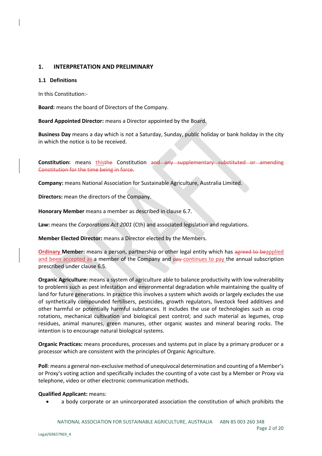## **1. INTERPRETATION AND PRELIMINARY**

#### **1.1 Definitions**

In this Constitution:-

**Board:** means the board of Directors of the Company.

**Board Appointed Director:** means a Director appointed by the Board.

**Business Day** means a day which is not a Saturday, Sunday, public holiday or bank holiday in the city in which the notice is to be received.

**Constitution:** means thisthe Constitution and any supplementary substituted or amending Constitution for the time being in force.

**Company:** means National Association for Sustainable Agriculture, Australia Limited.

**Directors:** mean the directors of the Company.

**Honorary Member** means a member as described in clause 6.7.

**Law:** means the *Corporations Act 2001* (Cth) and associated legislation and regulations.

**Member Elected Director:** means a Director elected by the Members.

**Ordinary Member:** means a person, partnership or other legal entity which has agreed to beapplied and been accepted as a member of the Company and pay continues to pay the annual subscription prescribed under clause 6.5.

**Organic Agriculture:** means a system of agriculture able to balance productivity with low vulnerability to problems such as pest infestation and environmental degradation while maintaining the quality of land for future generations. In practice this involves a system which avoids or largely excludes the use of synthetically compounded fertilisers, pesticides, growth regulators, livestock feed additives and other harmful or potentially harmful substances. It includes the use of technologies such as crop rotations, mechanical cultivation and biological pest control; and such material as legumes, crop residues, animal manures, green manures, other organic wastes and mineral bearing rocks. The intention is to encourage natural biological systems.

**Organic Practices:** means procedures, processes and systems put in place by a primary producer or a processor which are consistent with the principles of Organic Agriculture.

**Poll**: means a general non-exclusive method of unequivocal determination and counting of a Member's or Proxy's voting action and specifically includes the counting of a vote cast by a Member or Proxy via telephone, video or other electronic communication methods.

#### **Qualified Applicant:** means:

• a body corporate or an unincorporated association the constitution of which prohibits the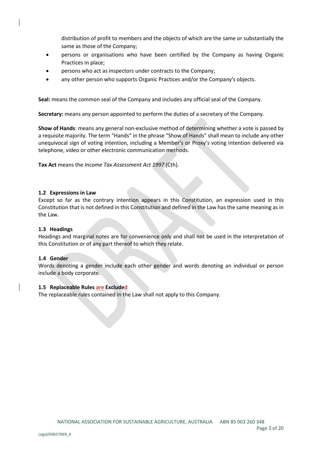distribution of profit to members and the objects of which are the same or substantially the same as those of the Company;

- persons or organisations who have been certified by the Company as having Organic Practices in place;
- persons who act as inspectors under contracts to the Company;
- any other person who supports Organic Practices and/or the Company's objects.

**Seal:** means the common seal of the Company and includes any official seal of the Company.

**Secretary:** means any person appointed to perform the duties of a secretary of the Company.

**Show of Hands**: means any general non-exclusive method of determining whether a vote is passed by a requisite majority. The term "Hands" in the phrase "Show of Hands" shall mean to include any other unequivocal sign of voting intention, including a Member's or Proxy's voting intention delivered via telephone, video or other electronic communication methods.

**Tax Act** means the *Income Tax Assessment Act 1997* (Cth).

#### **1.2 Expressions in Law**

Except so far as the contrary intention appears in this Constitution, an expression used in this Constitution that is not defined in this Constitution and defined in the Law has the same meaning as in the Law.

#### **1.3 Headings**

Headings and marginal notes are for convenience only and shall not be used in the interpretation of this Constitution or of any part thereof to which they relate.

#### **1.4 Gender**

Words denoting a gender include each other gender and words denoting an individual or person include a body corporate.

#### **1.5 Replaceable Rules are Excluded**

The replaceable rules contained in the Law shall not apply to this Company.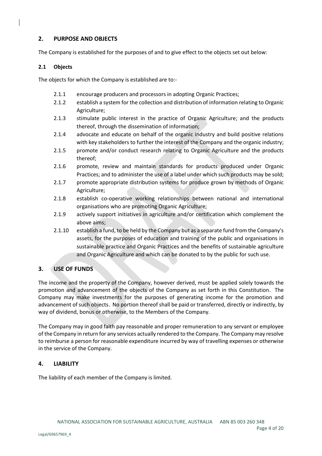## **2. PURPOSE AND OBJECTS**

The Company is established for the purposes of and to give effect to the objects set out below:

## **2.1 Objects**

The objects for which the Company is established are to:-

- 2.1.1 encourage producers and processors in adopting Organic Practices;
- 2.1.2 establish a system for the collection and distribution of information relating to Organic Agriculture;
- 2.1.3 stimulate public interest in the practice of Organic Agriculture; and the products thereof, through the dissemination of information;
- 2.1.4 advocate and educate on behalf of the organic industry and build positive relations with key stakeholders to further the interest of the Company and the organic industry;
- 2.1.5 promote and/or conduct research relating to Organic Agriculture and the products thereof;
- 2.1.6 promote, review and maintain standards for products produced under Organic Practices; and to administer the use of a label under which such products may be sold;
- 2.1.7 promote appropriate distribution systems for produce grown by methods of Organic Agriculture;
- 2.1.8 establish co-operative working relationships between national and international organisations who are promoting Organic Agriculture;
- 2.1.9 actively support initiatives in agriculture and/or certification which complement the above aims;
- 2.1.10 establish a fund, to be held by the Company but as a separate fund from the Company's assets, for the purposes of education and training of the public and organisations in sustainable practice and Organic Practices and the benefits of sustainable agriculture and Organic Agriculture and which can be donated to by the public for such use.

## **3. USE OF FUNDS**

The income and the property of the Company, however derived, must be applied solely towards the promotion and advancement of the objects of the Company as set forth in this Constitution. The Company may make investments for the purposes of generating income for the promotion and advancement of such objects. No portion thereof shall be paid or transferred, directly or indirectly, by way of dividend, bonus or otherwise, to the Members of the Company.

The Company may in good faith pay reasonable and proper remuneration to any servant or employee of the Company in return for any services actually rendered to the Company. The Company may resolve to reimburse a person for reasonable expenditure incurred by way of travelling expenses or otherwise in the service of the Company.

## **4. LIABILITY**

The liability of each member of the Company is limited.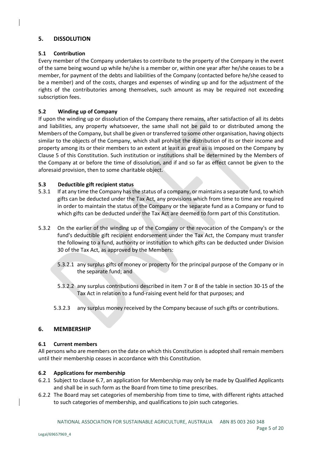## **5. DISSOLUTION**

#### **5.1 Contribution**

Every member of the Company undertakes to contribute to the property of the Company in the event of the same being wound up while he/she is a member or, within one year after he/she ceases to be a member, for payment of the debts and liabilities of the Company (contacted before he/she ceased to be a member) and of the costs, charges and expenses of winding up and for the adjustment of the rights of the contributories among themselves, such amount as may be required not exceeding subscription fees.

#### **5.2 Winding up of Company**

If upon the winding up or dissolution of the Company there remains, after satisfaction of all its debts and liabilities, any property whatsoever, the same shall not be paid to or distributed among the Members of the Company, but shall be given or transferred to some other organisation, having objects similar to the objects of the Company, which shall prohibit the distribution of its or their income and property among its or their members to an extent at least as great as is imposed on the Company by Clause 5 of this Constitution. Such institution or institutions shall be determined by the Members of the Company at or before the time of dissolution, and if and so far as effect cannot be given to the aforesaid provision, then to some charitable object.

## **5.3 Deductible gift recipient status**

- 5.3.1 If at any time the Company has the status of a company, or maintains a separate fund, to which gifts can be deducted under the Tax Act, any provisions which from time to time are required in order to maintain the status of the Company or the separate fund as a Company or fund to which gifts can be deducted under the Tax Act are deemed to form part of this Constitution.
- 5.3.2 On the earlier of the winding up of the Company or the revocation of the Company's or the fund's deductible gift recipient endorsement under the Tax Act, the Company must transfer the following to a fund, authority or institution to which gifts can be deducted under Division 30 of the Tax Act, as approved by the Members:
	- 5.3.2.1 any surplus gifts of money or property for the principal purpose of the Company or in the separate fund; and
	- 5.3.2.2 any surplus contributions described in item 7 or 8 of the table in section 30-15 of the Tax Act in relation to a fund-raising event held for that purposes; and
	- 5.3.2.3 any surplus money received by the Company because of such gifts or contributions.

#### **6. MEMBERSHIP**

#### **6.1 Current members**

All persons who are members on the date on which this Constitution is adopted shall remain members until their membership ceases in accordance with this Constitution.

#### **6.2 Applications for membership**

- 6.2.1 Subject to clause 6.7, an application for Membership may only be made by Qualified Applicants and shall be in such form as the Board from time to time prescribes.
- 6.2.2 The Board may set categories of membership from time to time, with different rights attached to such categories of membership, and qualifications to join such categories.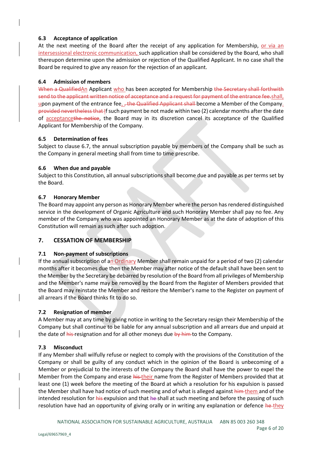## **6.3 Acceptance of application**

At the next meeting of the Board after the receipt of any application for Membership, or via an intersessional electronic communication, such application shall be considered by the Board, who shall thereupon determine upon the admission or rejection of the Qualified Applicant. In no case shall the Board be required to give any reason for the rejection of an applicant.

## **6.4 Admission of members**

When a QualifiedAn Applicant who has been accepted for Membership the Secretary shall forthwith send to the applicant written notice of acceptance and a request for payment of the entrance fee.shall, upon payment of the entrance fee, , the Qualified Applicant shall become a Member of the Company. provided nevertheless that If such payment be not made within two (2) calendar months after the date of acceptancethe notice, the Board may in its discretion cancel its acceptance of the Qualified Applicant for Membership of the Company.

## **6.5 Determination of fees**

Subject to clause 6.7, the annual subscription payable by members of the Company shall be such as the Company in general meeting shall from time to time prescribe.

## **6.6 When due and payable**

Subject to this Constitution, all annual subscriptions shall become due and payable as per terms set by the Board.

## **6.7 Honorary Member**

The Board may appoint any person as Honorary Member where the person hasrendered distinguished service in the development of Organic Agriculture and such Honorary Member shall pay no fee. Any member of the Company who was appointed an Honorary Member as at the date of adoption of this Constitution will remain as such after such adoption.

## **7. CESSATION OF MEMBERSHIP**

#### **7.1 Non-payment of subscriptions**

If the annual subscription of an Ordinary Member shall remain unpaid for a period of two (2) calendar months after it becomes due then the Member may after notice of the default shall have been sent to the Member by the Secretary be debarred by resolution of the Board from all privileges of Membership and the Member's name may be removed by the Board from the Register of Members provided that the Board may reinstate the Member and restore the Member's name to the Register on payment of all arrears if the Board thinks fit to do so.

## **7.2 Resignation of member**

A Member may at any time by giving notice in writing to the Secretary resign their Membership of the Company but shall continue to be liable for any annual subscription and all arrears due and unpaid at the date of his resignation and for all other moneys due by him to the Company.

#### **7.3 Misconduct**

If any Member shall wilfully refuse or neglect to comply with the provisions of the Constitution of the Company or shall be guilty of any conduct which in the opinion of the Board is unbecoming of a Member or prejudicial to the interests of the Company the Board shall have the power to expel the Member from the Company and erase his their name from the Register of Members provided that at least one (1) week before the meeting of the Board at which a resolution for his expulsion is passed the Member shall have had notice of such meeting and of what is alleged against him them and of the intended resolution for his expulsion and that he shall at such meeting and before the passing of such resolution have had an opportunity of giving orally or in writing any explanation or defence he-they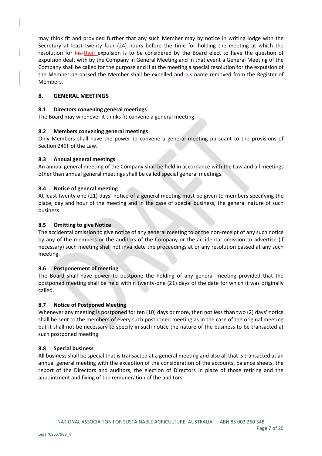may think fit and provided further that any such Member may by notice in writing lodge with the Secretary at least twenty four (24) hours before the time for holding the meeting at which the resolution for his their expulsion is to be considered by the Board elect to have the question of expulsion dealt with by the Company in General Meeting and in that event a General Meeting of the Company shall be called for the purpose and if at the meeting a special resolution for the expulsion of the Member be passed the Member shall be expelled and his name removed from the Register of Members.

## **8. GENERAL MEETINGS**

#### **8.1 Directors convening general meetings**

The Board may whenever it thinks fit convene a general meeting.

#### **8.2 Members convening general meetings**

Only Members shall have the power to convene a general meeting pursuant to the provisions of Section 249F of the Law.

#### **8.3 Annual general meetings**

An annual general meeting of the Company shall be held in accordance with the Law and all meetings other than annual general meetings shall be called special general meetings.

#### **8.4 Notice of general meeting**

At least twenty one (21) days' notice of a general meeting must be given to members specifying the place, day and hour of the meeting and in the case of special business, the general nature of such business.

#### **8.5 Omitting to give Notice**

The accidental omission to give notice of any general meeting to or the non-receipt of any such notice by any of the members or the auditors of the Company or the accidental omission to advertise (if necessary) such meeting shall not invalidate the proceedings at or any resolution passed at any such meeting.

#### **8.6 Postponement of meeting**

The Board shall have power to postpone the holding of any general meeting provided that the postponed meeting shall be held within twenty-one (21) days of the date for which it was originally called.

#### **8.7 Notice of Postponed Meeting**

Whenever any meeting is postponed for ten (10) days or more, then not less than two (2) days' notice shall be sent to the members of every such postponed meeting as in the case of the original meeting but it shall not be necessary to specify in such notice the nature of the business to be transacted at such postponed meeting.

#### **8.8 Special business**

All business shall be special that is transacted at a general meeting and also all that is transacted at an annual general meeting with the exception of the consideration of the accounts, balance sheets, the report of the Directors and auditors, the election of Directors in place of those retiring and the appointment and fixing of the remuneration of the auditors.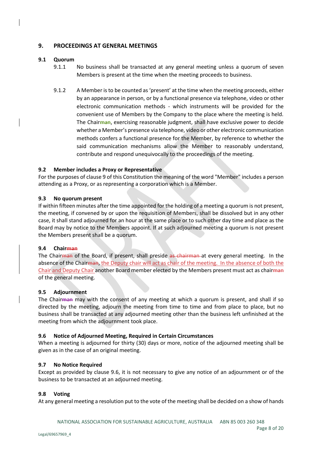## **9. PROCEEDINGS AT GENERAL MEETINGS**

#### **9.1 Quorum**

- 9.1.1 No business shall be transacted at any general meeting unless a quorum of seven Members is present at the time when the meeting proceeds to business.
- 9.1.2 A Member is to be counted as 'present' at the time when the meeting proceeds, either by an appearance in person, or by a functional presence via telephone, video or other electronic communication methods - which instruments will be provided for the convenient use of Members by the Company to the place where the meeting is held. The Chairman, exercising reasonable judgment, shall have exclusive power to decide whether a Member's presence via telephone, video or other electronic communication methods confers a functional presence for the Member, by reference to whether the said communication mechanisms allow the Member to reasonably understand, contribute and respond unequivocally to the proceedings of the meeting.

## **9.2 Member includes a Proxy or Representative**

For the purposes of clause 9 of this Constitution the meaning of the word "Member" includes a person attending as a Proxy, or as representing a corporation which is a Member.

#### **9.3 No quorum present**

If within fifteen minutes after the time appointed for the holding of a meeting a quorum is not present, the meeting, if convened by or upon the requisition of Members, shall be dissolved but in any other case, it shall stand adjourned for an hour at the same place or to such other day time and place as the Board may by notice to the Members appoint. If at such adjourned meeting a quorum is not present the Members present shall be a quorum.

#### **9.4 Chairman**

The Chairman of the Board, if present, shall preside as chairman at every general meeting. In the absence of the Chairman, the Deputy chair will act as chair of the meeting. In the absence of both the Chair and Deputy Chair another Board member elected by the Members present must act as chairman of the general meeting.

#### **9.5 Adjournment**

The Chairman may with the consent of any meeting at which a quorum is present, and shall if so directed by the meeting, adjourn the meeting from time to time and from place to place, but no business shall be transacted at any adjourned meeting other than the business left unfinished at the meeting from which the adjournment took place.

#### **9.6 Notice of Adjourned Meeting, Required in Certain Circumstances**

When a meeting is adjourned for thirty (30) days or more, notice of the adjourned meeting shall be given as in the case of an original meeting.

#### **9.7 No Notice Required**

Except as provided by clause 9.6, it is not necessary to give any notice of an adjournment or of the business to be transacted at an adjourned meeting.

#### **9.8 Voting**

At any general meeting a resolution put to the vote of the meeting shall be decided on a show of hands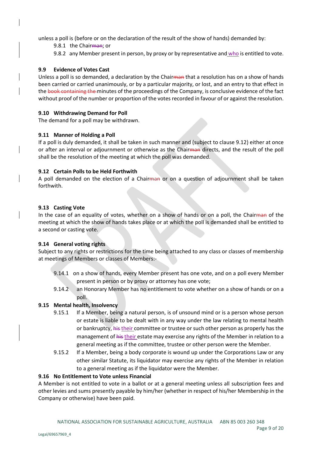unless a poll is (before or on the declaration of the result of the show of hands) demanded by:

9.8.1 the Chairman; or

9.8.2 any Member present in person, by proxy or by representative and who is entitled to vote.

## **9.9 Evidence of Votes Cast**

Unless a poll is so demanded, a declaration by the Chairman that a resolution has on a show of hands been carried or carried unanimously, or by a particular majority, or lost, and an entry to that effect in the book containing the minutes of the proceedings of the Company, is conclusive evidence of the fact without proof of the number or proportion of the votes recorded in favour of or against the resolution.

## **9.10 Withdrawing Demand for Poll**

The demand for a poll may be withdrawn.

## **9.11 Manner of Holding a Poll**

If a poll is duly demanded, it shall be taken in such manner and (subject to clause 9.12) either at once or after an interval or adjournment or otherwise as the Chairman directs, and the result of the poll shall be the resolution of the meeting at which the poll was demanded.

## **9.12 Certain Polls to be Held Forthwith**

A poll demanded on the election of a Chairman or on a question of adjournment shall be taken forthwith.

## **9.13 Casting Vote**

In the case of an equality of votes, whether on a show of hands or on a poll, the Chairman of the meeting at which the show of hands takes place or at which the poll is demanded shall be entitled to a second or casting vote.

#### **9.14 General voting rights**

Subject to any rights or restrictions for the time being attached to any class or classes of membership at meetings of Members or classes of Members:-

- 9.14.1 on a show of hands, every Member present has one vote, and on a poll every Member present in person or by proxy or attorney has one vote;
- 9.14.2 an Honorary Member has no entitlement to vote whether on a show of hands or on a poll.

## **9.15 Mental health, Insolvency**

- 9.15.1 If a Member, being a natural person, is of unsound mind or is a person whose person or estate is liable to be dealt with in any way under the law relating to mental health or bankruptcy, his their committee or trustee or such other person as properly has the management of his their estate may exercise any rights of the Member in relation to a general meeting as if the committee, trustee or other person were the Member.
- 9.15.2 If a Member, being a body corporate is wound up under the Corporations Law or any other similar Statute, its liquidator may exercise any rights of the Member in relation to a general meeting as if the liquidator were the Member.

#### **9.16 No Entitlement to Vote unless Financial**

A Member is not entitled to vote in a ballot or at a general meeting unless all subscription fees and other levies and sums presently payable by him/her (whether in respect of his/her Membership in the Company or otherwise) have been paid.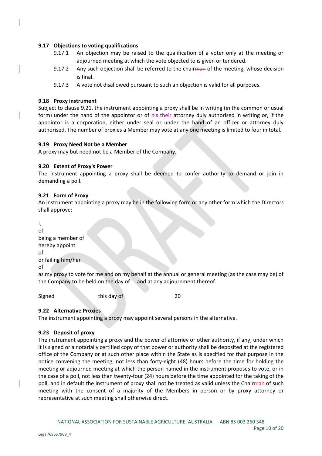#### **9.17 Objections to voting qualifications**

- 9.17.1 An objection may be raised to the qualification of a voter only at the meeting or adjourned meeting at which the vote objected to is given or tendered.
- 9.17.2 Any such objection shall be referred to the chairman of the meeting, whose decision is final.
- 9.17.3 A vote not disallowed pursuant to such an objection is valid for all purposes.

#### **9.18 Proxy instrument**

Subject to clause 9.21, the instrument appointing a proxy shall be in writing (in the common or usual form) under the hand of the appointor or of his their attorney duly authorised in writing or, if the appointor is a corporation, either under seal or under the hand of an officer or attorney duly authorised. The number of proxies a Member may vote at any one meeting is limited to four in total.

#### **9.19 Proxy Need Not be a Member**

A proxy may but need not be a Member of the Company.

#### **9.20 Extent of Proxy's Power**

The instrument appointing a proxy shall be deemed to confer authority to demand or join in demanding a poll.

#### **9.21 Form of Proxy**

An instrument appointing a proxy may be in the following form or any other form which the Directors shall approve:

I, of being a member of hereby appoint of or failing him/her of

as my proxy to vote for me and on my behalf at the annual or general meeting (as the case may be) of the Company to be held on the day of and at any adjournment thereof.

Signed this day of 20

## **9.22 Alternative Proxies**

The instrument appointing a proxy may appoint several persons in the alternative.

## **9.23 Deposit of proxy**

The instrument appointing a proxy and the power of attorney or other authority, if any, under which it is signed or a notarially certified copy of that power or authority shall be deposited at the registered office of the Company or at such other place within the State as is specified for that purpose in the notice convening the meeting, not less than forty-eight (48) hours before the time for holding the meeting or adjourned meeting at which the person named in the instrument proposes to vote, or in the case of a poll, not less than twenty-four (24) hours before the time appointed for the taking of the poll, and in default the instrument of proxy shall not be treated as valid unless the Chairman of such meeting with the consent of a majority of the Members in person or by proxy attorney or representative at such meeting shall otherwise direct.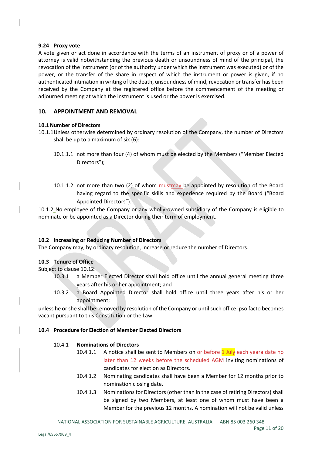#### **9.24 Proxy vote**

A vote given or act done in accordance with the terms of an instrument of proxy or of a power of attorney is valid notwithstanding the previous death or unsoundness of mind of the principal, the revocation of the instrument (or of the authority under which the instrument was executed) or of the power, or the transfer of the share in respect of which the instrument or power is given, if no authenticated intimation in writing of the death, unsoundness of mind, revocation or transfer has been received by the Company at the registered office before the commencement of the meeting or adjourned meeting at which the instrument is used or the power is exercised.

## **10. APPOINTMENT AND REMOVAL**

#### **10.1Number of Directors**

- 10.1.1Unless otherwise determined by ordinary resolution of the Company, the number of Directors shall be up to a maximum of six (6):
	- 10.1.1.1 not more than four (4) of whom must be elected by the Members ("Member Elected Directors");
	- 10.1.1.2 not more than two (2) of whom  $\frac{m}{m}$  be appointed by resolution of the Board having regard to the specific skills and experience required by the Board ("Board Appointed Directors").

10.1.2 No employee of the Company or any wholly-owned subsidiary of the Company is eligible to nominate or be appointed as a Director during their term of employment.

#### **10.2 Increasing or Reducing Number of Directors**

The Company may, by ordinary resolution, increase or reduce the number of Directors.

#### **10.3 Tenure of Office**

Subject to clause 10.12:

- 10.3.1 a Member Elected Director shall hold office until the annual general meeting three years after his or her appointment; and
- 10.3.2 a Board Appointed Director shall hold office until three years after his or her appointment;

unless he or she shall be removed by resolution of the Company or until such office ipso facto becomes vacant pursuant to this Constitution or the Law.

#### **10.4 Procedure for Election of Member Elected Directors**

#### 10.4.1 **Nominations of Directors**

- 10.4.1.1 A notice shall be sent to Members on or before **1 July** each yeara date no later than 12 weeks before the scheduled AGM inviting nominations of candidates for election as Directors.
- 10.4.1.2 Nominating candidates shall have been a Member for 12 months prior to nomination closing date.
- 10.4.1.3 Nominations for Directors (other than in the case of retiring Directors) shall be signed by two Members, at least one of whom must have been a Member for the previous 12 months. A nomination will not be valid unless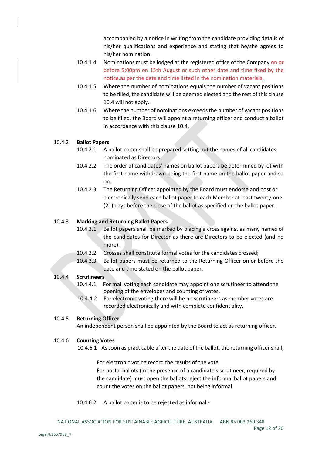accompanied by a notice in writing from the candidate providing details of his/her qualifications and experience and stating that he/she agrees to his/her nomination.

- 10.4.1.4 Nominations must be lodged at the registered office of the Company on or before 5:00pm on 15th August or such other date and time fixed by the notice.as per the date and time listed in the nomination materials.
- 10.4.1.5 Where the number of nominations equals the number of vacant positions to be filled, the candidate will be deemed elected and the rest of this clause 10.4 will not apply.
- 10.4.1.6 Where the number of nominations exceeds the number of vacant positions to be filled, the Board will appoint a returning officer and conduct a ballot in accordance with this clause 10.4.

## 10.4.2 **Ballot Papers**

- 10.4.2.1 A ballot paper shall be prepared setting out the names of all candidates nominated as Directors.
- 10.4.2.2 The order of candidates' names on ballot papers be determined by lot with the first name withdrawn being the first name on the ballot paper and so on.
- 10.4.2.3 The Returning Officer appointed by the Board must endorse and post or electronically send each ballot paper to each Member at least twenty-one (21) days before the close of the ballot as specified on the ballot paper.

## 10.4.3 **Marking and Returning Ballot Papers**

- 10.4.3.1 Ballot papers shall be marked by placing a cross against as many names of the candidates for Director as there are Directors to be elected (and no more).
- 10.4.3.2 Crosses shall constitute formal votes for the candidates crossed;
- 10.4.3.3 Ballot papers must be returned to the Returning Officer on or before the date and time stated on the ballot paper.

#### 10.4.4 **Scrutineers**

- 10.4.4.1 For mail voting each candidate may appoint one scrutineer to attend the opening of the envelopes and counting of votes.
- 10.4.4.2 For electronic voting there will be no scrutineers as member votes are recorded electronically and with complete confidentiality.

#### 10.4.5 **Returning Officer**

An independent person shall be appointed by the Board to act as returning officer.

#### 10.4.6 **Counting Votes**

10.4.6.1 As soon as practicable after the date of the ballot, the returning officershall;

For electronic voting record the results of the vote For postal ballots (in the presence of a candidate's scrutineer, required by the candidate) must open the ballots reject the informal ballot papers and count the votes on the ballot papers, not being informal

#### 10.4.6.2 A ballot paper is to be rejected as informal:-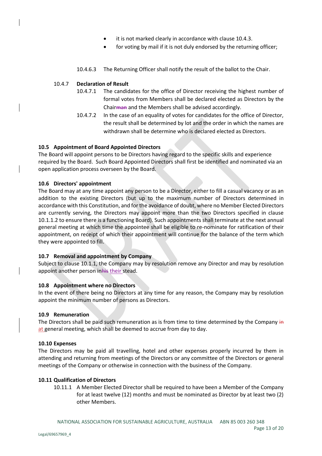- it is not marked clearly in accordance with clause 10.4.3.
- for voting by mail if it is not duly endorsed by the returning officer:
- 10.4.6.3 The Returning Officer shall notify the result of the ballot to the Chair.

#### 10.4.7 **Declaration of Result**

- 10.4.7.1 The candidates for the office of Director receiving the highest number of formal votes from Members shall be declared elected as Directors by the Chairman and the Members shall be advised accordingly.
- 10.4.7.2 In the case of an equality of votes for candidates for the office of Director, the result shall be determined by lot and the order in which the names are withdrawn shall be determine who is declared elected as Directors.

## **10.5 Appointment of Board Appointed Directors**

The Board will appoint persons to be Directors having regard to the specific skills and experience required by the Board. Such Board Appointed Directors shall first be identified and nominated via an open application process overseen by the Board.

#### **10.6 Directors' appointment**

The Board may at any time appoint any person to be a Director, either to fill a casual vacancy or as an addition to the existing Directors (but up to the maximum number of Directors determined in accordance with this Constitution, and for the avoidance of doubt, where no Member Elected Directors are currently serving, the Directors may appoint more than the two Directors specified in clause 10.1.1.2 to ensure there is a functioning Board). Such appointments shall terminate at the next annual general meeting at which time the appointee shall be eligible to re-nominate for ratification of their appointment, on receipt of which their appointment will continue for the balance of the term which they were appointed to fill.

#### **10.7 Removal and appointment by Company**

Subject to clause 10.1.1, the Company may by resolution remove any Director and may by resolution appoint another person inhis their stead.

#### **10.8 Appointment where no Directors**

In the event of there being no Directors at any time for any reason, the Company may by resolution appoint the minimum number of persons as Directors.

#### **10.9 Remuneration**

The Directors shall be paid such remuneration as is from time to time determined by the Company in at general meeting, which shall be deemed to accrue from day to day.

#### **10.10 Expenses**

The Directors may be paid all travelling, hotel and other expenses properly incurred by them in attending and returning from meetings of the Directors or any committee of the Directors or general meetings of the Company or otherwise in connection with the business of the Company.

#### **10.11 Qualification of Directors**

10.11.1 A Member Elected Director shall be required to have been a Member of the Company for at least twelve (12) months and must be nominated as Director by at least two (2) other Members.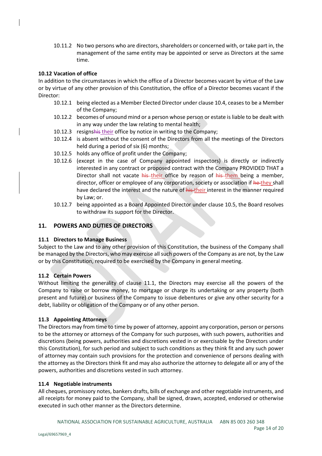10.11.2 No two persons who are directors, shareholders or concerned with, or take part in, the management of the same entity may be appointed or serve as Directors at the same time.

#### **10.12 Vacation of office**

In addition to the circumstances in which the office of a Director becomes vacant by virtue of the Law or by virtue of any other provision of this Constitution, the office of a Director becomes vacant if the Director:

- 10.12.1 being elected as a Member Elected Director under clause 10.4, ceases to be a Member of the Company;
- 10.12.2 becomes of unsound mind or a person whose person or estate is liable to be dealt with in any way under the law relating to mental health;
- 10.12.3 resignshis their office by notice in writing to the Company;
- 10.12.4 is absent without the consent of the Directors from all the meetings of the Directors held during a period of six (6) months;
- 10.12.5 holds any office of profit under the Company;
- 10.12.6 (except in the case of Company appointed inspectors) is directly or indirectly interested in any contract or proposed contract with the Company PROVIDED THAT a Director shall not vacate his their office by reason of his them being a member, director, officer or employee of any corporation, society or association if he they shall have declared the interest and the nature of his their interest in the manner required by Law; or.
- 10.12.7 being appointed as a Board Appointed Director under clause 10.5, the Board resolves to withdraw its support for the Director.

## **11. POWERS AND DUTIES OF DIRECTORS**

#### **11.1 Directors to Manage Business**

Subject to the Law and to any other provision of this Constitution, the business of the Company shall be managed by the Directors, who may exercise all such powers of the Company as are not, by the Law or by this Constitution, required to be exercised by the Company in general meeting.

#### **11.2 Certain Powers**

Without limiting the generality of clause 11.1, the Directors may exercise all the powers of the Company to raise or borrow money, to mortgage or charge its undertaking or any property (both present and future) or business of the Company to issue debentures or give any other security for a debt, liability or obligation of the Company or of any other person.

#### **11.3 Appointing Attorneys**

The Directors may from time to time by power of attorney, appoint any corporation, person or persons to be the attorney or attorneys of the Company for such purposes, with such powers, authorities and discretions (being powers, authorities and discretions vested in or exercisable by the Directors under this Constitution), for such period and subject to such conditions as they think fit and any such power of attorney may contain such provisions for the protection and convenience of persons dealing with the attorney as the Directors think fit and may also authorize the attorney to delegate all or any of the powers, authorities and discretions vested in such attorney.

#### **11.4 Negotiable instruments**

All cheques, promissory notes, bankers drafts, bills of exchange and other negotiable instruments, and all receipts for money paid to the Company, shall be signed, drawn, accepted, endorsed or otherwise executed in such other manner as the Directors determine.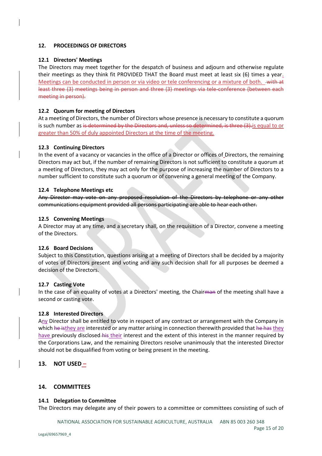#### **12. PROCEEDINGS OF DIRECTORS**

#### **12.1 Directors' Meetings**

The Directors may meet together for the despatch of business and adjourn and otherwise regulate their meetings as they think fit PROVIDED THAT the Board must meet at least six (6) times a year. Meetings can be conducted in person or via video or tele conferencing or a mixture of both. with at least three (3) meetings being in person and three (3) meetings via tele-conference (between each meeting in person).

## **12.2 Quorum for meeting of Directors**

At a meeting of Directors, the number of Directors whose presence is necessary to constitute a quorum is such number as is determined by the Directors and, unless so determined, is three (3). is equal to or greater than 50% of duly appointed Directors at the time of the meeting.

## **12.3 Continuing Directors**

In the event of a vacancy or vacancies in the office of a Director or offices of Directors, the remaining Directors may act but, if the number of remaining Directors is not sufficient to constitute a quorum at a meeting of Directors, they may act only for the purpose of increasing the number of Directors to a number sufficient to constitute such a quorum or of convening a general meeting of the Company.

#### **12.4 Telephone Meetings etc**

Any Director may vote on any proposed resolution of the Directors by telephone or any other communications equipment provided all persons participating are able to hear each other.

#### **12.5 Convening Meetings**

A Director may at any time, and a secretary shall, on the requisition of a Director, convene a meeting of the Directors.

#### **12.6 Board Decisions**

Subject to this Constitution, questions arising at a meeting of Directors shall be decided by a majority of votes of Directors present and voting and any such decision shall for all purposes be deemed a decision of the Directors.

#### **12.7 Casting Vote**

In the case of an equality of votes at a Directors' meeting, the Chairman of the meeting shall have a second or casting vote.

#### **12.8 Interested Directors**

Any Director shall be entitled to vote in respect of any contract or arrangement with the Company in which he isthey are interested or any matter arising in connection therewith provided that he has they have previously disclosed his their interest and the extent of this interest in the manner required by the Corporations Law, and the remaining Directors resolve unanimously that the interested Director should not be disqualified from voting or being present in the meeting.

## **13. NOT USED –**

#### **14. COMMITTEES**

#### **14.1 Delegation to Committee**

The Directors may delegate any of their powers to a committee or committees consisting of such of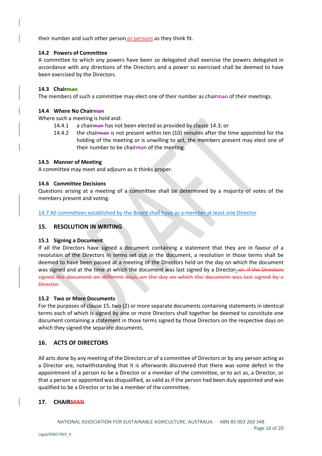their number and such other person or persons as they think fit.

#### **14.2 Powers of Committee**

A committee to which any powers have been so delegated shall exercise the powers delegated in accordance with any directions of the Directors and a power so exercised shall be deemed to have been exercised by the Directors.

## **14.3 Chairman**

The members of such a committee may elect one of their number as chairman of their meetings.

#### **14.4 Where No Chairman**

Where such a meeting is held and:

- 14.4.1 a chairman has not been elected as provided by clause 14.3; or
- 14.4.2 the chairman is not present within ten (10) minutes after the time appointed for the holding of the meeting or is unwilling to act, the members present may elect one of their number to be chairman of the meeting.

## **14.5 Manner of Meeting**

A committee may meet and adjourn as it thinks proper.

## **14.6 Committee Decisions**

Questions arising at a meeting of a committee shall be determined by a majority of votes of the members present and voting.

14.7 All committees established by the Board shall have as a member at least one Director

## **15. RESOLUTION IN WRITING**

#### **15.1 Signing a Document**

If all the Directors have signed a document containing a statement that they are in favour of a resolution of the Directors in terms set out in the document, a resolution in those terms shall be deemed to have been passed at a meeting of the Directors held on the day on which the document was signed and at the time at which the document was last signed by a Director-or, if the Directors signed the document on different days, on the day on which the document was last signed by a Director.

#### **15.2 Two or More Documents**

For the purposes of clause 15, two (2) or more separate documents containing statements in identical terms each of which is signed by one or more Directors shall together be deemed to constitute one document containing a statement in those terms signed by those Directors on the respective days on which they signed the separate documents.

## **16. ACTS OF DIRECTORS**

All acts done by any meeting of the Directors or of a committee of Directors or by any person acting as a Director are, notwithstanding that it is afterwards discovered that there was some defect in the appointment of a person to be a Director or a member of the committee, or to act as, a Director, or that a person so appointed was disqualified, as valid as if the person had been duly appointed and was qualified to be a Director or to be a member of the committee.

## **17. CHAIRMAN**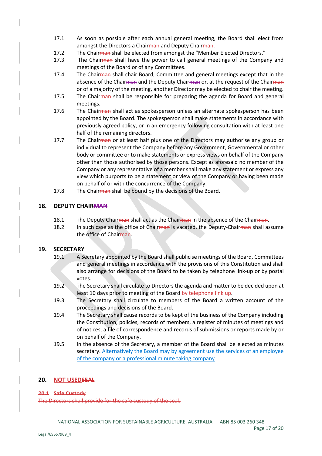- 17.1 As soon as possible after each annual general meeting, the Board shall elect from amongst the Directors a Chairman and Deputy Chairman.
- 17.2 The Chair man shall be elected from amongst the "Member Elected Directors."
- 17.3 The Chairman shall have the power to call general meetings of the Company and meetings of the Board or of any Committees.
- 17.4 The Chairman shall chair Board, Committee and general meetings except that in the absence of the Chairman and the Deputy Chairman or, at the request of the Chairman or of a majority of the meeting, another Director may be elected to chair the meeting.
- 17.5 The Chairman shall be responsible for preparing the agenda for Board and general meetings.
- 17.6 The Chairman shall act as spokesperson unless an alternate spokesperson has been appointed by the Board. The spokesperson shall make statements in accordance with previously agreed policy, or in an emergency following consultation with at least one half of the remaining directors.
- 17.7 The Chairman or at least half plus one of the Directors may authorise any group or individual to represent the Company before any Government, Governmental or other body or committee or to make statements or express views on behalf of the Company other than those authorised by those persons. Except as aforesaid no member of the Company or any representative of a member shall make any statement or express any view which purports to be a statement or view of the Company or having been made on behalf of or with the concurrence of the Company.
- 17.8 The Chairman shall be bound by the decisions of the Board.

## **18. DEPUTY CHAIRMAN**

- 18.1 The Deputy Chairman shall act as the Chairman in the absence of the Chairman.
- 18.2 In such case as the office of Chairman is vacated, the Deputy-Chairman shall assume the office of Chairman.

#### **19. SECRETARY**

- 19.1 A Secretary appointed by the Board shall publicise meetings of the Board, Committees and general meetings in accordance with the provisions of this Constitution and shall also arrange for decisions of the Board to be taken by telephone link-up or by postal votes.
- 19.2 The Secretary shall circulate to Directors the agenda and matter to be decided upon at least 10 days prior to meeting of the Board-by telephone link up.
- 19.3 The Secretary shall circulate to members of the Board a written account of the proceedings and decisions of the Board.
- 19.4 The Secretary shall cause records to be kept of the business of the Company including the Constitution, policies, records of members, a register of minutes of meetings and of notices, a file of correspondence and records of submissions or reports made by or on behalf of the Company.
- 19.5 In the absence of the Secretary, a member of the Board shall be elected as minutes secretary. Alternatively the Board may by agreement use the services of an employee of the company or a professional minute taking company

#### **20. NOT USEDSEAL**

#### **20.1 Safe Custody**

The Directors shall provide for the safe custody of the seal.

Page 17 of 20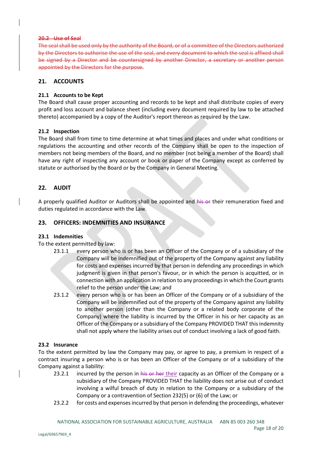#### **20.2 Use of Seal**

The seal shall be used only by the authority of the Board, or of a committee of the Directors authorized by the Directors to authorise the use of the seal, and every document to which the seal is affixed shall be signed by a Director and be countersigned by another Director, a secretary or another person appointed by the Directors for the purpose.

#### **21. ACCOUNTS**

#### **21.1 Accounts to be Kept**

The Board shall cause proper accounting and records to be kept and shall distribute copies of every profit and loss account and balance sheet (including every document required by law to be attached thereto) accompanied by a copy of the Auditor's report thereon as required by the Law.

#### **21.2 Inspection**

The Board shall from time to time determine at what times and places and under what conditions or regulations the accounting and other records of the Company shall be open to the inspection of members not being members of the Board, and no member (not being a member of the Board) shall have any right of inspecting any account or book or paper of the Company except as conferred by statute or authorised by the Board or by the Company in General Meeting.

## **22. AUDIT**

A properly qualified Auditor or Auditors shall be appointed and his or their remuneration fixed and duties regulated in accordance with the Law.

## **23. OFFICERS: INDEMNITIES AND INSURANCE**

#### **23.1 Indemnities**

#### To the extent permitted by law:

- 23.1.1 every person who is or has been an Officer of the Company or of a subsidiary of the Company will be indemnified out of the property of the Company against any liability for costs and expenses incurred by that person in defending any proceedings in which judgment is given in that person's favour, or in which the person is acquitted, or in connection with an application in relation to any proceedings in which the Court grants relief to the person under the Law; and
- 23.1.2 every person who is or has been an Officer of the Company or of a subsidiary of the Company will be indemnified out of the property of the Company against any liability to another person (other than the Company or a related body corporate of the Company) where the liability is incurred by the Officer in his or her capacity as an Officer of the Company or a subsidiary of the Company PROVIDED THAT this indemnity shall not apply where the liability arises out of conduct involving a lack of good faith.

#### **23.2 Insurance**

To the extent permitted by law the Company may pay, or agree to pay, a premium in respect of a contract insuring a person who is or has been an Officer of the Company or of a subsidiary of the Company against a liability:

- 23.2.1 incurred by the person in his or her their capacity as an Officer of the Company or a subsidiary of the Company PROVIDED THAT the liability does not arise out of conduct involving a wilful breach of duty in relation to the Company or a subsidiary of the Company or a contravention of Section 232(5) or (6) of the Law; or
- 23.2.2 for costs and expenses incurred by that person in defending the proceedings, whatever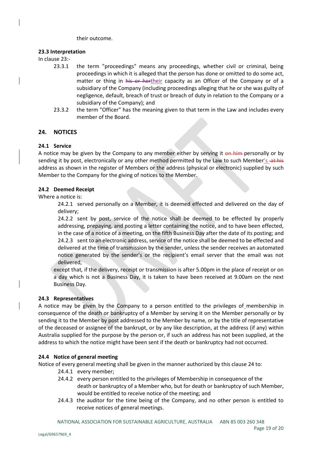#### their outcome.

#### **23.3 Interpretation**

In clause 23:-

- 23.3.1 the term "proceedings" means any proceedings, whether civil or criminal, being proceedings in which it is alleged that the person has done or omitted to do some act, matter or thing in his or hertheir capacity as an Officer of the Company or of a subsidiary of the Company (including proceedings alleging that he or she was guilty of negligence, default, breach of trust or breach of duty in relation to the Company or a subsidiary of the Company); and
- 23.3.2 the term "Officer" has the meaning given to that term in the Law and includes every member of the Board.

#### **24. NOTICES**

#### **24.1 Service**

A notice may be given by the Company to any member either by serving it on him personally or by sending it by post, electronically or any other method permitted by the Law to such Member's -at his address as shown in the register of Members or the address (physical or electronic) supplied by such Member to the Company for the giving of notices to the Member.

#### **24.2 Deemed Receipt**

Where a notice is:

24.2.1 served personally on a Member, it is deemed effected and delivered on the day of delivery;

24.2.2 sent by post, service of the notice shall be deemed to be effected by properly addressing, prepaying, and posting a letter containing the notice, and to have been effected, in the case of a notice of a meeting, on the fifth Business Day after the date of its posting; and 24.2.3 sent to an electronic address, service of the notice shall be deemed to be effected and delivered at the time of transmission by the sender, unless the sender receives an automated notice generated by the sender's or the recipient's email server that the email was not delivered,

except that, if the delivery, receipt or transmission is after 5.00pm in the place of receipt or on a day which is not a Business Day, it is taken to have been received at 9.00am on the next Business Day.

#### **24.3 Representatives**

A notice may be given by the Company to a person entitled to the privileges of membership in consequence of the death or bankruptcy of a Member by serving it on the Member personally or by sending it to the Member by post addressed to the Member by name, or by the title of representative of the deceased or assignee of the bankrupt, or by any like description, at the address (if any) within Australia supplied for the purpose by the person or, if such an address has not been supplied, at the address to which the notice might have been sent if the death or bankruptcy had not occurred.

#### **24.4 Notice of general meeting**

Notice of every general meeting shall be given in the manner authorized by this clause 24 to:

- 24.4.1 every member;
- 24.4.2 every person entitled to the privileges of Membership in consequence of the death or bankruptcy of a Member who, but for death or bankruptcy of such Member, would be entitled to receive notice of the meeting; and
- 24.4.3 the auditor for the time being of the Company, and no other person is entitled to receive notices of general meetings.